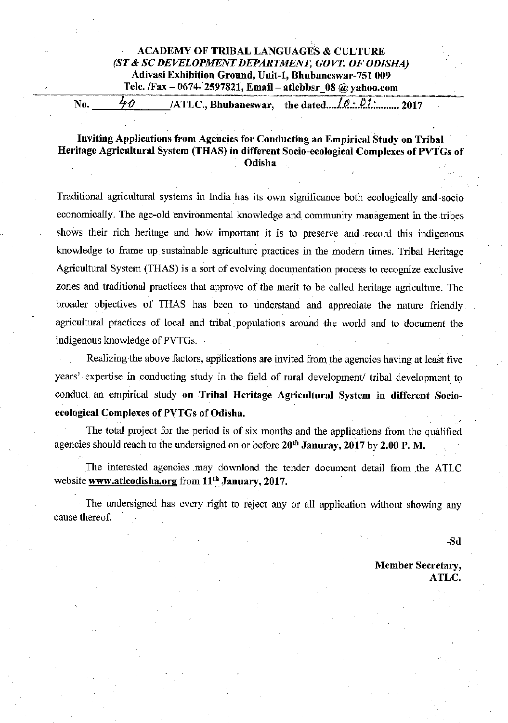## **ACADEMY OF TRIBAL LANGUAGES & CULTURE** (ST & SC DEVELOPMENT DEPARTMENT, GOVT. OF ODISHA) Adivasi Exhibition Ground, Unit-1, Bhubaneswar-751 009 Tele. /Fax - 0674-2597821, Email - atlebbsr 08 @ yahoo.com

 $40$ the dated.... $\sqrt{Q \cdot Q_1}$ ............ 2017 No. /ATLC., Bhubaneswar.

## Inviting Applications from Agencies for Conducting an Empirical Study on Tribal Heritage Agricultural System (THAS) in different Socio-ecological Complexes of PVTGs of Odisha

Traditional agricultural systems in India has its own significance both ecologically and socio economically. The age-old environmental knowledge and community management in the tribes shows their rich heritage and how important it is to preserve and record this indigenous knowledge to frame up sustainable agriculture practices in the modern times. Tribal Heritage Agricultural System (THAS) is a sort of evolving documentation process to recognize exclusive zones and traditional practices that approve of the merit to be called heritage agriculture. The broader objectives of THAS has been to understand and appreciate the nature friendly agricultural practices of local and tribal populations around the world and to document the indigenous knowledge of PVTGs.

Realizing the above factors, applications are invited from the agencies having at least five years' expertise in conducting study in the field of rural development/ tribal development to conduct an empirical study on Tribal Heritage Agricultural System in different Socioecological Complexes of PVTGs of Odisha.

The total project for the period is of six months and the applications from the qualified agencies should reach to the undersigned on or before 20<sup>th</sup> Januray, 2017 by 2.00 P. M.

The interested agencies may download the tender document detail from the ATLC website www.atlcodisha.org from 11<sup>th</sup> January, 2017.

The undersigned has every right to reject any or all application without showing any cause thereof.

-Sd

**Member Secretary.** ATLC.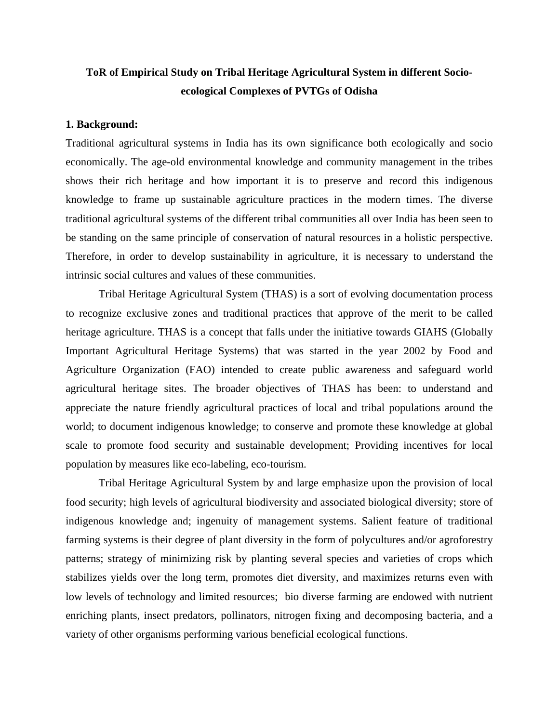# **ToR of Empirical Study on Tribal Heritage Agricultural System in different Socioecological Complexes of PVTGs of Odisha**

#### **1. Background:**

Traditional agricultural systems in India has its own significance both ecologically and socio economically. The age-old environmental knowledge and community management in the tribes shows their rich heritage and how important it is to preserve and record this indigenous knowledge to frame up sustainable agriculture practices in the modern times. The diverse traditional agricultural systems of the different tribal communities all over India has been seen to be standing on the same principle of conservation of natural resources in a holistic perspective. Therefore, in order to develop sustainability in agriculture, it is necessary to understand the intrinsic social cultures and values of these communities.

Tribal Heritage Agricultural System (THAS) is a sort of evolving documentation process to recognize exclusive zones and traditional practices that approve of the merit to be called heritage agriculture. THAS is a concept that falls under the initiative towards GIAHS (Globally Important Agricultural Heritage Systems) that was started in the year 2002 by Food and Agriculture Organization (FAO) intended to create public awareness and safeguard world agricultural heritage sites. The broader objectives of THAS has been: to understand and appreciate the nature friendly agricultural practices of local and tribal populations around the world; to document indigenous knowledge; to conserve and promote these knowledge at global scale to promote food security and sustainable development; Providing incentives for local population by measures like eco-labeling, eco-tourism.

Tribal Heritage Agricultural System by and large emphasize upon the provision of local food security; high levels of agricultural biodiversity and associated biological diversity; store of indigenous knowledge and; ingenuity of management systems. Salient feature of traditional farming systems is their degree of plant diversity in the form of polycultures and/or agroforestry patterns; strategy of minimizing risk by planting several species and varieties of crops which stabilizes yields over the long term, promotes diet diversity, and maximizes returns even with low levels of technology and limited resources; bio diverse farming are endowed with nutrient enriching plants, insect predators, pollinators, nitrogen fixing and decomposing bacteria, and a variety of other organisms performing various beneficial ecological functions.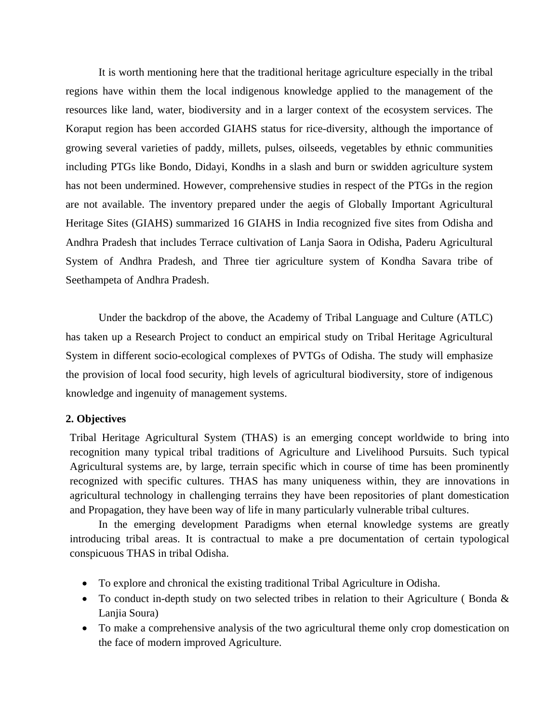It is worth mentioning here that the traditional heritage agriculture especially in the tribal regions have within them the local indigenous knowledge applied to the management of the resources like land, water, biodiversity and in a larger context of the ecosystem services. The Koraput region has been accorded GIAHS status for rice-diversity, although the importance of growing several varieties of paddy, millets, pulses, oilseeds, vegetables by ethnic communities including PTGs like Bondo, Didayi, Kondhs in a slash and burn or swidden agriculture system has not been undermined. However, comprehensive studies in respect of the PTGs in the region are not available. The inventory prepared under the aegis of Globally Important Agricultural Heritage Sites (GIAHS) summarized 16 GIAHS in India recognized five sites from Odisha and Andhra Pradesh that includes Terrace cultivation of Lanja Saora in Odisha, Paderu Agricultural System of Andhra Pradesh, and Three tier agriculture system of Kondha Savara tribe of Seethampeta of Andhra Pradesh.

Under the backdrop of the above, the Academy of Tribal Language and Culture (ATLC) has taken up a Research Project to conduct an empirical study on Tribal Heritage Agricultural System in different socio-ecological complexes of PVTGs of Odisha. The study will emphasize the provision of local food security, high levels of agricultural biodiversity, store of indigenous knowledge and ingenuity of management systems.

## **2. Objectives**

Tribal Heritage Agricultural System (THAS) is an emerging concept worldwide to bring into recognition many typical tribal traditions of Agriculture and Livelihood Pursuits. Such typical Agricultural systems are, by large, terrain specific which in course of time has been prominently recognized with specific cultures. THAS has many uniqueness within, they are innovations in agricultural technology in challenging terrains they have been repositories of plant domestication and Propagation, they have been way of life in many particularly vulnerable tribal cultures.

In the emerging development Paradigms when eternal knowledge systems are greatly introducing tribal areas. It is contractual to make a pre documentation of certain typological conspicuous THAS in tribal Odisha.

- To explore and chronical the existing traditional Tribal Agriculture in Odisha.
- To conduct in-depth study on two selected tribes in relation to their Agriculture (Bonda  $\&$ Lanjia Soura)
- To make a comprehensive analysis of the two agricultural theme only crop domestication on the face of modern improved Agriculture.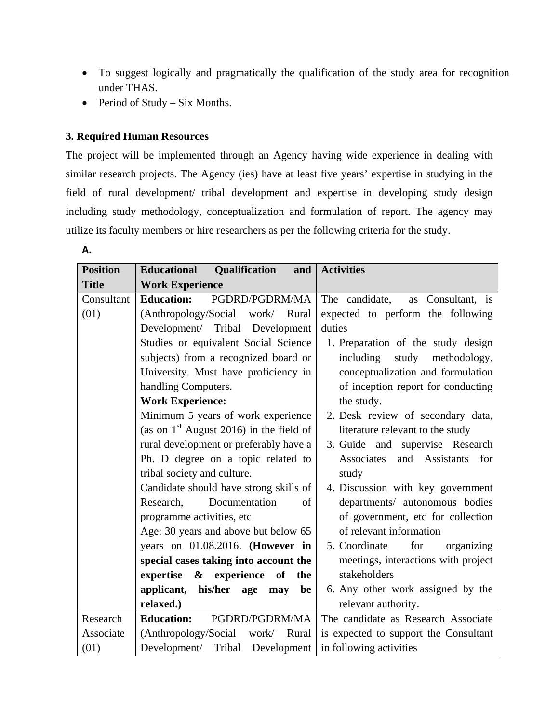- To suggest logically and pragmatically the qualification of the study area for recognition under THAS.
- Period of Study Six Months.

# **3. Required Human Resources**

**A.**

The project will be implemented through an Agency having wide experience in dealing with similar research projects. The Agency (ies) have at least five years' expertise in studying in the field of rural development/ tribal development and expertise in developing study design including study methodology, conceptualization and formulation of report. The agency may utilize its faculty members or hire researchers as per the following criteria for the study.

| <b>Position</b> | Qualification<br><b>Educational</b><br>and | <b>Activities</b>                     |
|-----------------|--------------------------------------------|---------------------------------------|
| <b>Title</b>    | <b>Work Experience</b>                     |                                       |
| Consultant      | <b>Education:</b><br>PGDRD/PGDRM/MA        | The candidate,<br>as Consultant, is   |
| (01)            | (Anthropology/Social<br>work/ Rural        | expected to perform the following     |
|                 | Development/ Tribal Development            | duties                                |
|                 | Studies or equivalent Social Science       | 1. Preparation of the study design    |
|                 | subjects) from a recognized board or       | including<br>study<br>methodology,    |
|                 | University. Must have proficiency in       | conceptualization and formulation     |
|                 | handling Computers.                        | of inception report for conducting    |
|                 | <b>Work Experience:</b>                    | the study.                            |
|                 | Minimum 5 years of work experience         | 2. Desk review of secondary data,     |
|                 | (as on $1st$ August 2016) in the field of  | literature relevant to the study      |
|                 | rural development or preferably have a     | 3. Guide and supervise Research       |
|                 | Ph. D degree on a topic related to         | Associates<br>and Assistants<br>for   |
|                 | tribal society and culture.                | study                                 |
|                 | Candidate should have strong skills of     | 4. Discussion with key government     |
|                 | Research,<br>Documentation<br>of           | departments/ autonomous bodies        |
|                 | programme activities, etc                  | of government, etc for collection     |
|                 | Age: 30 years and above but below 65       | of relevant information               |
|                 | years on 01.08.2016. (However in           | for<br>5. Coordinate<br>organizing    |
|                 | special cases taking into account the      | meetings, interactions with project   |
|                 | expertise & experience<br>of<br>the        | stakeholders                          |
|                 | applicant, his/her age<br>be<br>may        | 6. Any other work assigned by the     |
|                 | relaxed.)                                  | relevant authority.                   |
| Research        | <b>Education:</b><br>PGDRD/PGDRM/MA        | The candidate as Research Associate   |
| Associate       | (Anthropology/Social)<br>work/ Rural       | is expected to support the Consultant |
| (01)            | Development/ Tribal Development            | in following activities               |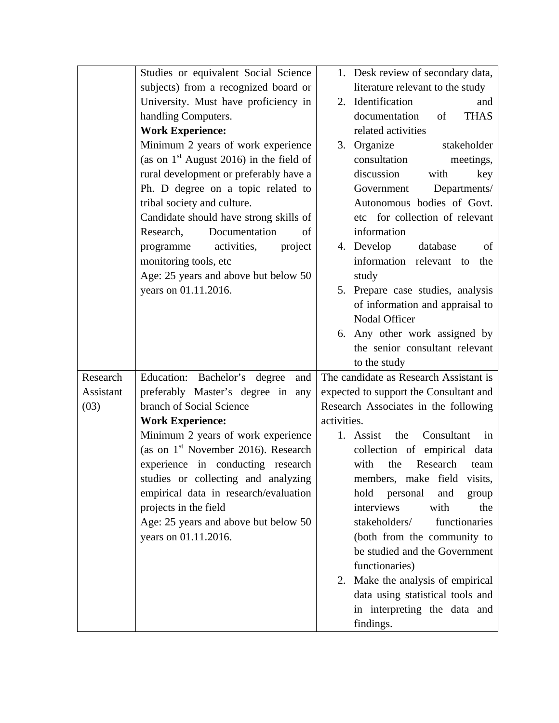|           | Studies or equivalent Social Science            | 1. Desk review of secondary data,      |
|-----------|-------------------------------------------------|----------------------------------------|
|           | subjects) from a recognized board or            | literature relevant to the study       |
|           | University. Must have proficiency in            | 2. Identification<br>and               |
|           | handling Computers.                             | documentation<br><b>THAS</b><br>of     |
|           | <b>Work Experience:</b>                         | related activities                     |
|           | Minimum 2 years of work experience              | 3. Organize<br>stakeholder             |
|           | (as on $1st$ August 2016) in the field of       | consultation<br>meetings,              |
|           | rural development or preferably have a          | discussion<br>with<br>key              |
|           | Ph. D degree on a topic related to              | Departments/<br>Government             |
|           | tribal society and culture.                     | Autonomous bodies of Govt.             |
|           | Candidate should have strong skills of          | etc for collection of relevant         |
|           | Documentation<br>Research,<br>of                | information                            |
|           | activities,<br>project<br>programme             | 4. Develop<br>database<br>of           |
|           | monitoring tools, etc                           | information relevant to<br>the         |
|           | Age: 25 years and above but below 50            | study                                  |
|           | years on 01.11.2016.                            | 5. Prepare case studies, analysis      |
|           |                                                 | of information and appraisal to        |
|           |                                                 | Nodal Officer                          |
|           |                                                 | 6. Any other work assigned by          |
|           |                                                 | the senior consultant relevant         |
|           |                                                 | to the study                           |
| Research  | Education: Bachelor's degree<br>and             | The candidate as Research Assistant is |
| Assistant | preferably Master's degree in<br>any            | expected to support the Consultant and |
| (03)      | branch of Social Science                        | Research Associates in the following   |
|           | <b>Work Experience:</b>                         | activities.                            |
|           | Minimum 2 years of work experience              | 1. Assist<br>Consultant<br>the<br>in   |
|           | (as on 1 <sup>st</sup> November 2016). Research | collection of empirical data           |
|           | experience in conducting research               | Research<br>with<br>the<br>team        |
|           | studies or collecting and analyzing             | members, make field<br>visits,         |
|           | empirical data in research/evaluation           | hold<br>personal<br>and<br>group       |
|           | projects in the field                           | interviews<br>with<br>the              |
|           | Age: 25 years and above but below 50            | stakeholders/<br>functionaries         |
|           | years on 01.11.2016.                            | (both from the community to            |
|           |                                                 | be studied and the Government          |
|           |                                                 | functionaries)                         |
|           |                                                 | Make the analysis of empirical<br>2.   |
|           |                                                 | data using statistical tools and       |
|           |                                                 | in interpreting the data and           |
|           |                                                 | findings.                              |